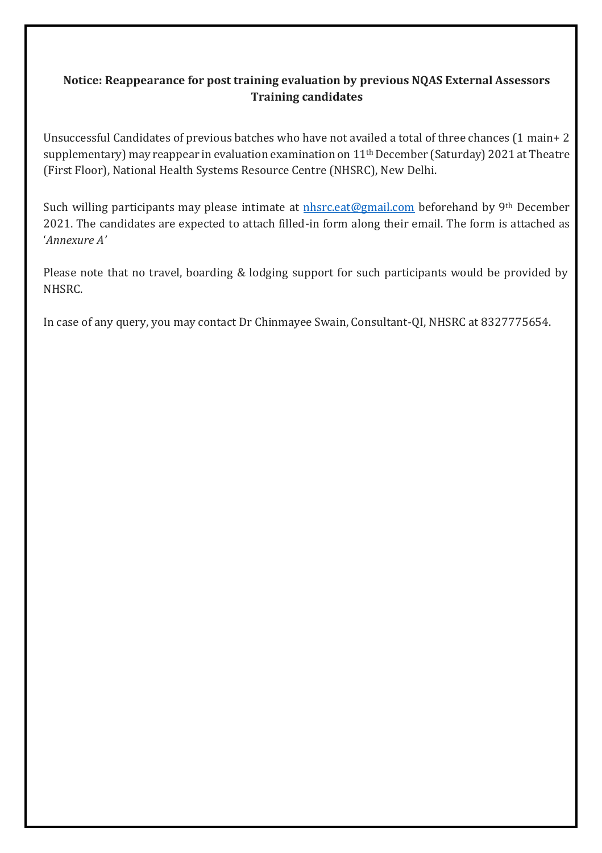### **Notice: Reappearance for post training evaluation by previous NQAS External Assessors Training candidates**

Unsuccessful Candidates of previous batches who have not availed a total of three chances (1 main+ 2 supplementary) may reappear in evaluation examination on  $11<sup>th</sup>$  December (Saturday) 2021 at Theatre (First Floor), National Health Systems Resource Centre (NHSRC), New Delhi.

Such willing participants may please intimate at *[nhsrc.eat@gmail.com](mailto:nhsrc.eat@gmail.com)* beforehand by 9<sup>th</sup> December 2021. The candidates are expected to attach filled-in form along their email. The form is attached as '*Annexure A'*

Please note that no travel, boarding & lodging support for such participants would be provided by NHSRC.

In case of any query, you may contact Dr Chinmayee Swain, Consultant-QI, NHSRC at 8327775654.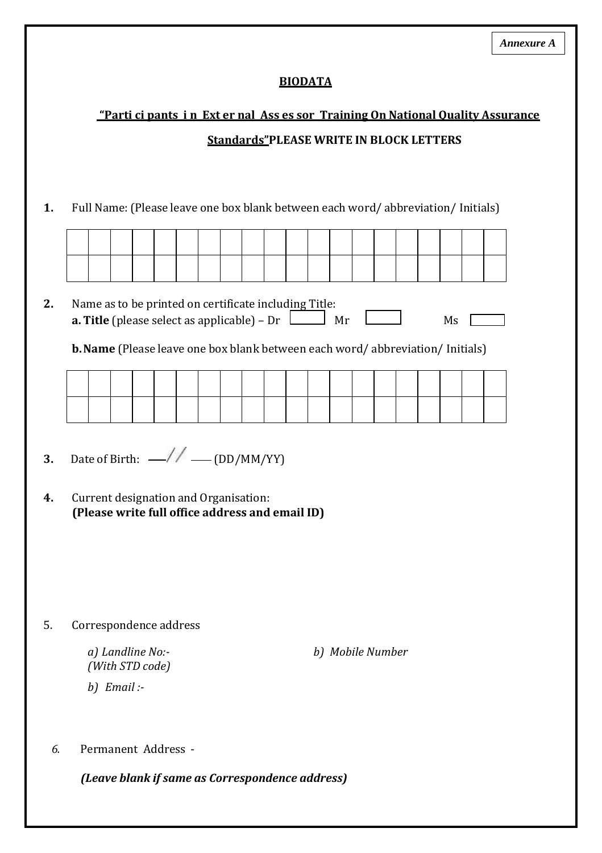### **BIODATA**

# "Parti ci pants in Ext er nal Ass es sor Training On National Quality Assurance **Standards"PLEASE WRITE IN BLOCK LETTERS**

1. Full Name: (Please leave one box blank between each word/abbreviation/ Initials)

#### $2.$ Name as to be printed on certificate including Title: **a. Title** (please select as applicable) – Dr  $\boxed{\phantom{a}}$  Mr  $\boxed{\phantom{a}}$  $Ms$

**b. Name** (Please leave one box blank between each word/abbreviation/ Initials)

- Date of Birth:  $-$ // (DD/MM/YY)  $3.$
- $\overline{4}$ . Current designation and Organisation: (Please write full office address and email ID)

5. Correspondence address

> a) Landline No:-(With STD code)

 $b)$  Email :-

b) Mobile Number

 $6<sub>l</sub>$ Permanent Address -

(Leave blank if same as Correspondence address)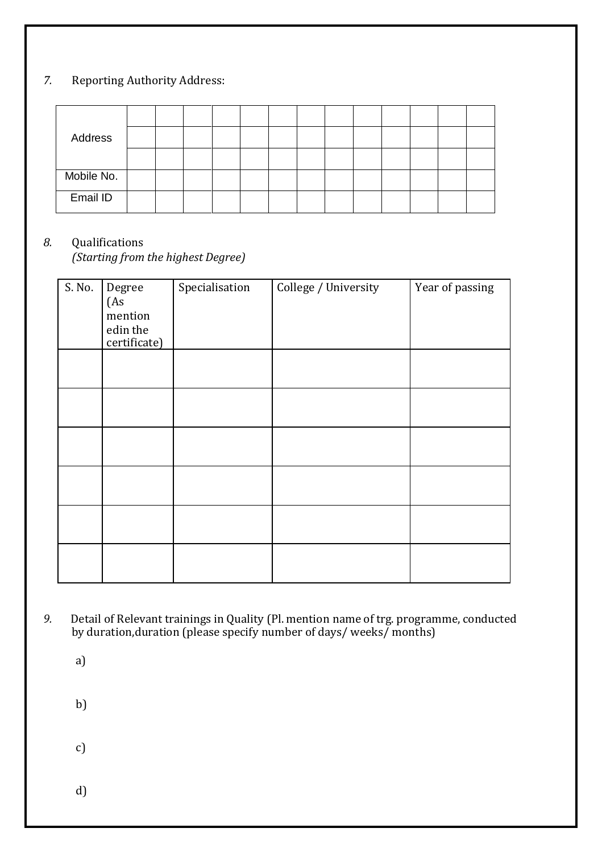# *7.* Reporting Authority Address:

| Address    |  |  |  |  |  |  |  |
|------------|--|--|--|--|--|--|--|
|            |  |  |  |  |  |  |  |
| Mobile No. |  |  |  |  |  |  |  |
| Email ID   |  |  |  |  |  |  |  |

## *8.* Qualifications

*(Starting from the highest Degree)*

| S. No. | Degree<br>(As<br>mention<br>edin the<br>certificate) | Specialisation | College / University | Year of passing |
|--------|------------------------------------------------------|----------------|----------------------|-----------------|
|        |                                                      |                |                      |                 |
|        |                                                      |                |                      |                 |
|        |                                                      |                |                      |                 |
|        |                                                      |                |                      |                 |
|        |                                                      |                |                      |                 |
|        |                                                      |                |                      |                 |

*9.* Detail of Relevant trainings in Quality (Pl. mention name of trg. programme, conducted by duration,duration (please specify number of days/ weeks/ months)

a)

b)

c)

d)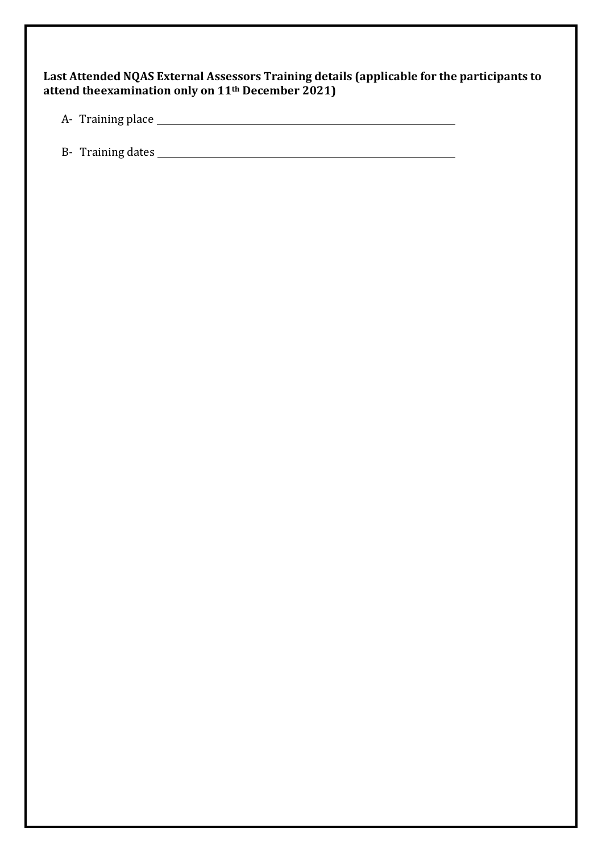| Last Attended NQAS External Assessors Training details (applicable for the participants to |
|--------------------------------------------------------------------------------------------|
| attend the examination only on 11 <sup>th</sup> December 2021)                             |

A- Training place

B- Training dates